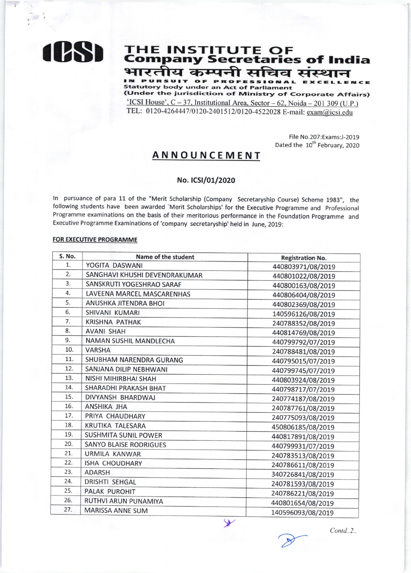

# **THE INSTITUTE OF<br>Company Secretaries of India** भारतीय कम्पनी सचिव संस्थान

PURSUIT OF PROFESSIONAL EXCEL **Statutory body under an Act of Parliament** (Under the jurisdiction of Ministry of Corporate Affairs)

'ICSI House',  $C - 37$ , Institutional Area, Sector - 62, Noida - 201 309 (U.P.) TEL: 0120-4264447/0120-2401512/0120-4522028 E-mail: exam@icsi.edu

> File No.207:Exams:J-2019 Dated the 10<sup>th</sup> February, 2020

## **ANNOUNCEMENT**

#### No. ICSI/01/2020

In pursuance of para 11 of the "Merit Scholarship (Company Secretaryship Course) Scheme 1983", the following students have been awarded 'Merit Scholarships' for the Executive Programme and Professional Programme examinations on the basis of their meritorious performance in the Foundation Programme and Executive Programme Examinations of 'company secretaryship' held in June, 2019:

#### **FOR EXECUTIVE PROGRAMME**

| S. No. | Name of the student           | <b>Registration No.</b> |
|--------|-------------------------------|-------------------------|
| 1.     | YOGITA DASWANI                | 440803971/08/2019       |
| 2.     | SANGHAVI KHUSHI DEVENDRAKUMAR | 440801022/08/2019       |
| 3.     | SANSKRUTI YOGESHRAO SARAF     | 440800163/08/2019       |
| 4.     | LAVEENA MARCEL MASCARENHAS    | 440806404/08/2019       |
| 5.     | ANUSHKA JITENDRA BHOI         | 440802369/08/2019       |
| 6.     | <b>SHIVANI KUMARI</b>         | 140596126/08/2019       |
| 7.     | <b>KRISHNA PATHAK</b>         | 240788352/08/2019       |
| 8.     | <b>AVANI SHAH</b>             | 440814769/08/2019       |
| 9.     | NAMAN SUSHIL MANDLECHA        | 440799792/07/2019       |
| 10.    | <b>VARSHA</b>                 | 240788481/08/2019       |
| 11.    | SHUBHAM NARENDRA GURANG       | 440795015/07/2019       |
| 12.    | SANJANA DILIP NEBHWANI        | 440799745/07/2019       |
| 13.    | NISHI MIHIRBHAI SHAH          | 440803924/08/2019       |
| 14.    | SHARADHI PRAKASH BHAT         | 440798717/07/2019       |
| 15.    | DIVYANSH BHARDWAJ             | 240774187/08/2019       |
| 16.    | ANSHIKA JHA                   | 240787761/08/2019       |
| 17.    | PRIYA CHAUDHARY               | 240775093/08/2019       |
| 18.    | <b>KRUTIKA TALESARA</b>       | 450806185/08/2019       |
| 19.    | <b>SUSHMITA SUNIL POWER</b>   | 440817891/08/2019       |
| 20.    | <b>SANYO BLAISE RODRIGUES</b> | 440799931/07/2019       |
| 21.    | URMILA KANWAR                 | 240783513/08/2019       |
| 22.    | ISHA CHOUDHARY                | 240786611/08/2019       |
| 23.    | <b>ADARSH</b>                 | 340726841/08/2019       |
| 24.    | <b>DRISHTI SEHGAL</b>         | 240781593/08/2019       |
| 25.    | <b>PALAK PUROHIT</b>          | 240786221/08/2019       |
| 26.    | RUTHVI ARUN PUNAMIYA          | 440801654/08/2019       |
| 27.    | MARISSA ANNE SUM              | 140596093/08/2019       |

 $\rightarrow$